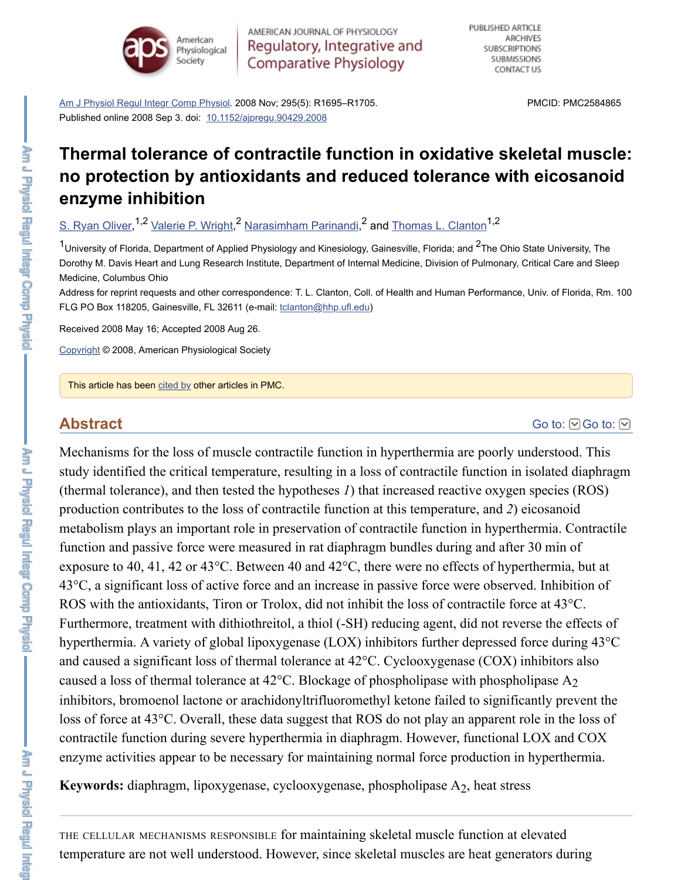#### **enzyme inhibition**

S. Ryan Oliver, <sup>1,2</sup> Valerie P. Wright, <sup>2</sup> Narasimham Parinandi, <sup>2</sup> and Thomas L. Clanton <sup>1,2</sup>

 $1$ University of Florida, Department of Applied Physiology and Kinesiology, Gainesville, Florida; and  $2$ The Ohio S Dorothy M. Davis Heart and Lung Research Institute, Department of Internal Medicine, Division of Pulmonary, C Medicine, Columbus Ohio

[Address for reprint requests and other co](https://www.ncbi.nlm.nih.gov/pmc/articles/PMC2584865/#)rrespondence: T. L. Clanton, Coll. of Health and Human Performance, FLG PO Box 118205, Gainesville, [FL 32611 \(e-mail: tclanton@h](https://dx.doi.org/10.1152%2Fajpregu.90429.2008)hp.ufl.edu)

Received 2008 May 16; Accepted 2008 Aug 26.

Copyright © 2008, American Physiological Society

This article has been cited by other articles in PMC.

## **[Abstract](https://www.ncbi.nlm.nih.gov/pubmed/?term=Oliver%20SR%5BAuthor%5D&cauthor=true&cauthor_uid=18768765)**

Mechanisms for the loss of muscle contractile function in hyperthermia are poorly understanding the loss of muscle contractile function in hyperthermia are poorly under study identified the critical temperature, resulting in a loss of contractile function in i (thermal tolerance), and then tested the hypotheses  $I$ ) that increased reactive oxygen production contributes to the loss of co[ntractile function](mailto:dev@null) at this temperature, and 2) e metabolism plays an important role in preservation of contractile function in hyperthermia. [function](https://www.ncbi.nlm.nih.gov/pmc/about/copyright/) and passive force were measured in rat diaphragm bundles during and after exposure to 40, 41, 42 or 43 $^{\circ}$ C. Between 40 and 42 $^{\circ}$ C, there were no effects of hyper  $43^{\circ}$ C, a significa[nt loss](https://www.ncbi.nlm.nih.gov/pmc/articles/PMC2584865/citedby/) of active force and an increase in passive force were observed. ROS with the antioxidants, Tiron or Trolox, did not inhibit the loss of contractile fore Furthermore, treatment with dithiothreitol, a thiol (-SH) reducing agent, did not rever[se the effects of](https://www.ncbi.nlm.nih.gov/pmc/articles/PMC2584865/#) effects of effects of effects of effects of effects of effects of effects of effects of effects of effects of effects hyperthermia. A variety of global lipoxygenase (LOX) inhibitors further depressed for and caused a significant loss of thermal tolerance at  $42^{\circ}$ C. Cyclooxygenase (COX) in caused a loss of thermal tolerance at  $42^{\circ}$ C. Blockage of phospholipase with phospholipase inhibitors, bromoenol lactone or arachidonyltrifluoromethyl ketone failed to significantly prevent the vent the loss of force at 43<sup>o</sup>C. Overall, these data suggest that ROS do not play an apparent ro contractile function during severe hyperthermia in diaphragm. However, functional I enzyme activities appear to be necessary for maintaining normal force production in

Keywords: diaphragm, lipoxygenase, cyclooxygenase, phospholipase A<sub>2</sub>, heat stress

THE CELLULAR MECHANISMS RESPONSIBLE for maintaining skeletal muscle function at el temperature are not well understood. However, since skeletal muscles are heat generators during the state of the state of the state of the state of the state of the state of the state of the state of the state of the state

Am J Physiol Regul Integr Comp Physio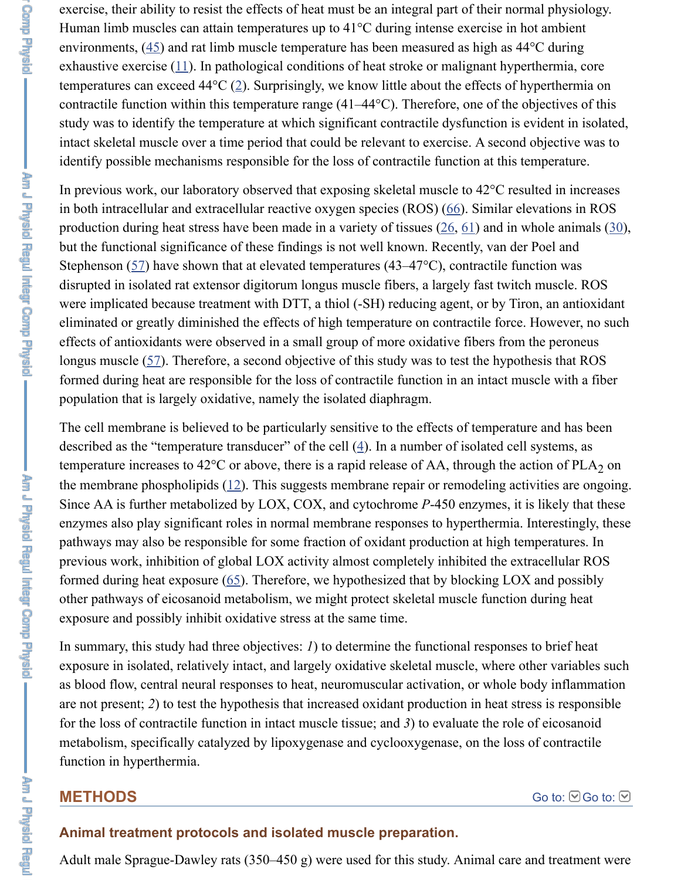in both intracellular and extracellular reactive oxygen species  $(ROS)$  (66). Similar ele production during heat stress have been made in a variety of tissues  $(26, 61)$  and in w but the functio[nal](https://www.ncbi.nlm.nih.gov/pmc/articles/PMC2584865/#r45) significance of these findings is not well known. Recently, van der Stephenson (57) hav[e sh](https://www.ncbi.nlm.nih.gov/pmc/articles/PMC2584865/#r11)own that at elevated temperatures (43–47 $\degree$ C), contractile fun disrupted in isolated rat extens[or](https://www.ncbi.nlm.nih.gov/pmc/articles/PMC2584865/#r2) digitorum longus muscle fibers, a largely fast twitch were implicated because treatment with DTT, a thiol (-SH) reducing agent, or by Tiron, eliminated or greatly diminished the effects of high temperature on contractile force. effects of antioxidants were observed in a small group of more oxidative fibers from longus muscle  $(57)$ . Therefore, a second objective of this study was to test the hypothesis that ROSS that ROSS that ROSS that ROSS that ROSS that ROSS that ROSS that ROSS that ROSS that ROSS that ROSS that ROSS that ROS formed during heat are responsible for the loss of contractile function in an intact must population that is largely oxidative, namely the isolated diaphragm.

In previous work, our laboratory observed that exposing skeletal muscle to 42°C resulted in increases

The cell membrane is believed to be particularly sensitive to the effe[cts](https://www.ncbi.nlm.nih.gov/pmc/articles/PMC2584865/#r26) [of t](https://www.ncbi.nlm.nih.gov/pmc/articles/PMC2584865/#r61)emperature described as the "temperature transducer" of the cell  $(4)$ . In a number of isolated cell temperature [inc](https://www.ncbi.nlm.nih.gov/pmc/articles/PMC2584865/#r57)reases to 42°C or above, there is a rapid release of AA, through the action the membrane phospholipids  $(12)$ . This suggests membrane repair or remodeling activities are only at  $(12)$ . Since AA is further metabolized by LOX, COX, and cytochrome *P*-450 enzymes, it is enzymes also play significant roles in normal membrane responses to hyperthermia. pathways may also be responsible for some fraction of oxidant production at high ter previous work, [inh](https://www.ncbi.nlm.nih.gov/pmc/articles/PMC2584865/#r57)ibition of global LOX activity almost completely inhibited the ext formed during heat exposure  $(65)$ . Therefore, we hypothesized that by blocking LOX other pathways of eicosanoid metabolism, we might protect skeletal muscle function exposure and possibly inhibit oxidative stress at the same time.

In summary, this study had three objectives:  $I$ ) to det[erm](https://www.ncbi.nlm.nih.gov/pmc/articles/PMC2584865/#r4)ine the functional responses exposure in isolated, relatively intact, and largely oxidative skeletal muscle, where ot as blood flow, central neural r[esp](https://www.ncbi.nlm.nih.gov/pmc/articles/PMC2584865/#r12)onses to heat, neuromuscular activation, or whole both are not present; 2) to test the hypothesis that increased oxidant production in heat stre for the loss of contractile function in intact muscle tissue; and  $3$ ) to evaluate the role metabolism, specifically catalyzed by lipoxygenase and cyclooxygenase, on the loss function in hyperthermia.

## **METHODS**

## **Animal treatment protocols and isolated muscle preparation.**

Adult male Sprague-Dawley rats (350–450 g) were used for this study. Animal care and treatment were and treatment were and treatment were and treatment were and treatment were and treatment were and treatment were and tre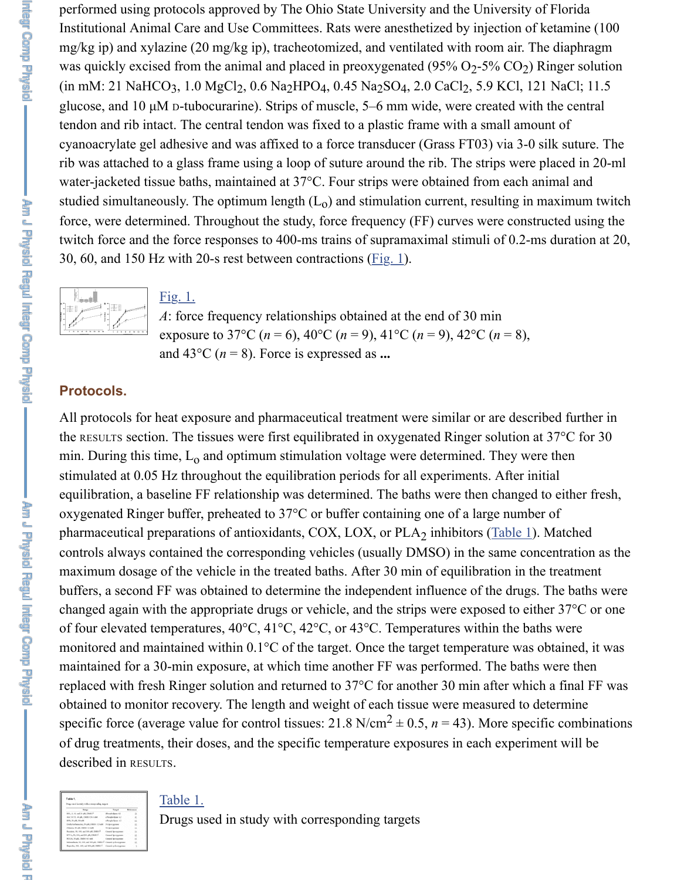

#### Fig. 1.

*A*: force frequency relationships obtained at the end of 30 min exposure to 37°C ( $n = 6$ ), 40°C ( $n = 9$ ), 41°C ( $n = 9$ ), 42°C ( $n = 8$ ), and  $43^{\circ}$ C ( $n = 8$ ). Force is expressed as ...

## **Protocols.**

All protocols for heat exposure and pharmaceutical treatment were similar or are des the RESULTS section. The tissues were first equilibrated in oxygenated Ringer solution min. During this time,  $L_0$  and optimum stimulation volt[age we](https://www.ncbi.nlm.nih.gov/pmc/articles/PMC2584865/figure/f1/)re determined. They w stimulated at 0.05 Hz throughout the equilibration periods for all experiments. After [equilibration, a b](https://www.ncbi.nlm.nih.gov/pmc/articles/PMC2584865/figure/f1/)a[seline](https://www.ncbi.nlm.nih.gov/pmc/articles/PMC2584865/figure/f1/) FF relationship was determined. The baths were then change oxygenated Ringer buffer, preheated to  $37^{\circ}$ C or buffer containing one of a large num pharmaceutical preparations of antioxidants, COX, LOX, or  $PLA_2$  inhibitors (Table 1). controls always contained the corresponding vehicles (usually DMSO) in the same controls maximum dosage of the vehicle in the treated baths. After 30 min of equilibration in buffers, a second FF was obtained to determine the independent influence of the drug changed again with the appropriate drugs or vehicle, and the strips were exposed to e of four elevated temperatures,  $40^{\circ}$ C,  $41^{\circ}$ C,  $42^{\circ}$ C, or  $43^{\circ}$ C. Temperatures within the b monitored and maintained within 0.1°C of the target. Once the target temperature was maintained for a 30-min exposure, at which time another FF was performed. The bat replaced with fresh Ringer solution and returned to  $37^{\circ}$ C for another 30 min after wh obtained to monitor recovery. The length and weight of each tissue were measured to specific force (average value for control tissues:  $21.8 \text{ N/cm}^2 \pm 0.5$ ,  $n = 43$ ). More spe of drug treatments, their doses, and the specific temperature exposures in each experidescribed in RESULTS.

#### Table 1.

Drugs used in study with corresponding targets

Am J Physic Regul Intent Comp Physic

**AET & THRACK** 

 $\overline{\phantom{a}}$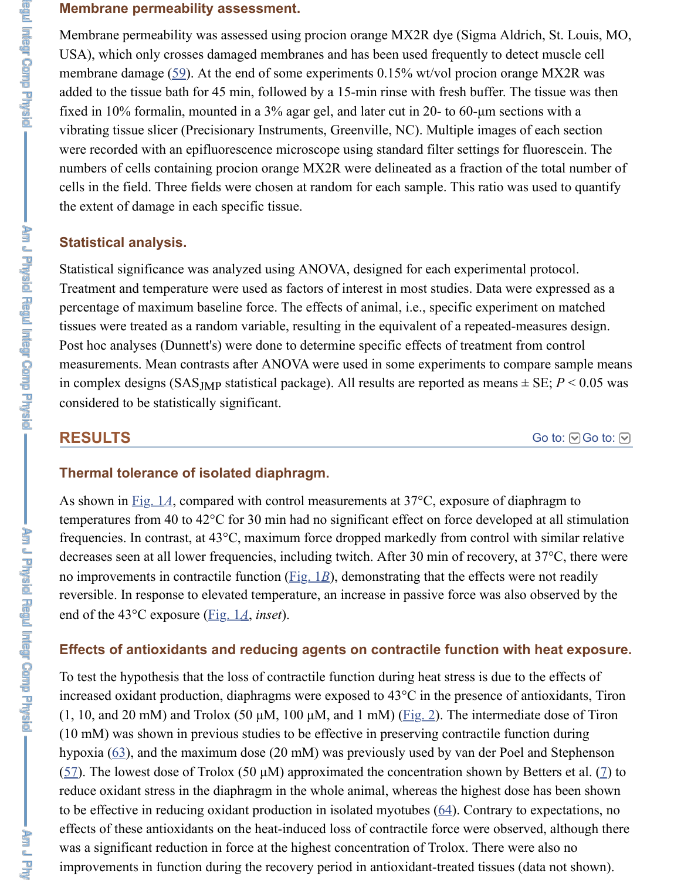the extent of damage in each specific tissue.

## **Statistical analysis.**

Statistical significan[ce](https://www.ncbi.nlm.nih.gov/pmc/articles/PMC2584865/#r59) was analyzed using ANOVA, designed for each experimental Treatment and temperature were used as factors of interest in most studies. Data were percentage of maximum baseline force. The effects of animal, i.e., specific experiment tissues were treated as a random variable, resulting in the equivalent of a repeated-measures design. Post hoc analyses (Dunnett's) were done to determine specific effects of treatment from measurements. Mean contrasts after ANOVA were used in some experiments to comin complex designs (SAS<sub>JMP</sub> statistical package). All results are reported as means  $\pm$ considered to be statistically significant.

## **RESULTS**

## **Thermal tolerance of isolated diaphragm.**

As shown in Fig. 1A, compared with control measurements at  $37^{\circ}$ C, exposure of diap temperatures from 40 to  $42^{\circ}$ C for 30 min had no significant effect on force developed frequencies. In contrast, at 43°C, maximum force dropped markedly from control with decreases seen at all lower frequencies, including twitch. After 30 min of recovery, a no improvements in contractile function  $(Fig, 1B)$ , demonstrating that the effects were reversible. In response to elevated temperature, an increase in passive force was also end of the 43°C exposure (Fig. 1*A*, *inset*).

## **Effects of antioxidants and reducing agents on contractile function with**

To test the hypothesis that the loss of contractile function during heat stress is due to increased ox[idant pro](https://www.ncbi.nlm.nih.gov/pmc/articles/PMC2584865/figure/f1/)duction, diaphragms were exposed to  $43^{\circ}$ C in the presence of a (1, 10, and 20 mM) and Trolox (50  $\mu$ M, 100  $\mu$ M, and 1 mM) (Fig. 2). The intermediation  $(10 \text{ mM})$  was shown in previous studies to be effective in preserving contractile function during during during during during  $(10 \text{ mM})$  was shown in previous studies to be effective in preserving contractile function. hypoxia  $(63)$ , and the maximum dose  $(20 \text{ mM})$  was previously used by van der Poel (57). The lowest dose of Trolox (50  $\mu$ M) [approxi](https://www.ncbi.nlm.nih.gov/pmc/articles/PMC2584865/figure/f1/)mated the concentration shown by B reduce oxidant stress in the diaphragm in the whole animal, whereas the highest dose to be effective in reducing [oxidant](https://www.ncbi.nlm.nih.gov/pmc/articles/PMC2584865/figure/f1/) production in isolated myotubes  $(64)$ . Contrary to effects of these antioxidants on the heat-induced loss of contractile force were observed, although the red, although the red, although the red, although there is although the red, although the red, although the red, altho was a significant reduction in force at the highest concentration of Trolox. There were improvements in function during the recovery period in antioxidant-treated tissues (d

Ann a Ph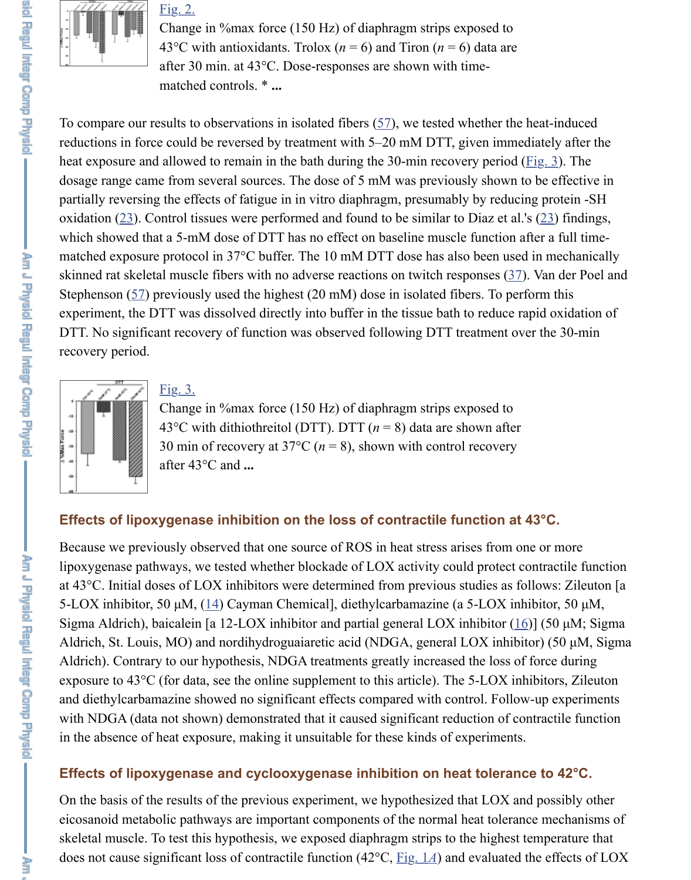partially reversin[g the eff](https://www.ncbi.nlm.nih.gov/pmc/articles/PMC2584865/figure/f2/)ects of fatigue in in vitro diaphragm, presumably by reducing oxidation  $(23)$ . Control tissues were performed and found to be similar to Diaz et al.'s which showed that a 5-mM dose of DTT has no effect on baseline muscle function at matched exposure protocol in  $37^{\circ}$ C buffer. The 10 mM DTT dose has also been used skinned rat skeletal muscle fibers with no adverse reactions on twitch responses  $(37)$ . Stephenson  $(57)$  previously used the highest  $(20 \text{ mM})$  dose in isolated fibers. To perf experiment, the DTT was dissolved directly into buffer i[n th](https://www.ncbi.nlm.nih.gov/pmc/articles/PMC2584865/#r57)e tissue bath to reduce ra DTT. No significant recovery of function was observed following DTT treatment over recovery period.



### Fig. 3.

Change in %max force (150 Hz) of diaphragm strips exposed to 43°C with dithiothreitol (DTT). DTT (*n* = 8) data are shown after 30 min of recovery at 37 $\degree$ C ( $n = 8$ ), shown with control recovery after 43°C and **...**

### **Effects of lipoxygenase inhibition on the loss of contractile function at 4**

Because we previously observed that one source of ROS in heat stress arises from one lipoxygenase pathways, we tested whether blockade of LOX activity could protect contraction at  $43^{\circ}$ C. Initial do[ses of L](https://www.ncbi.nlm.nih.gov/pmc/articles/PMC2584865/figure/f3/)OX inhibitors were determined from previous studies as fo 5-LOX inhibitor, 50  $\mu$ M, (14) Cayman Chemical], diethylcarbamazine (a 5-LOX inh Sigma Aldrich), baicalein [a 12-LOX inhibitor and partial general LOX inhibitor  $(16)$ Aldrich, St. Louis, MO) and nordihydroguaiaretic acid (NDGA, general LOX inhibit Aldrich). Contrary to our hypothesis, NDGA treatments greatly increased the loss of exposure to  $43^{\circ}$ C (for data, see the online supplement to this article). The 5-LOX inh and diethylcarbamazine showed no significant effects compared with control. Follow with NDGA (data not shown) demonstrated that it caused significant reduction of contraction in the absence of heat exposure, making it unsuitable for these kinds of experiments.

### **Effects of lipoxygenase and cyclooxygenase inhibition on heat toleranc**

On the basis [of](https://www.ncbi.nlm.nih.gov/pmc/articles/PMC2584865/#r14) the results of the previous experiment, we hypothesized that LOX and eicosanoid metabolic pathways are important components of the normal heat toler[anc](https://www.ncbi.nlm.nih.gov/pmc/articles/PMC2584865/#r16)e skeletal muscle. To test this hypothesis, we exposed diaphragm strips to the highest to does not cause significant loss of contractile function  $(42^{\circ}C, Fig. 1A)$  and evaluated t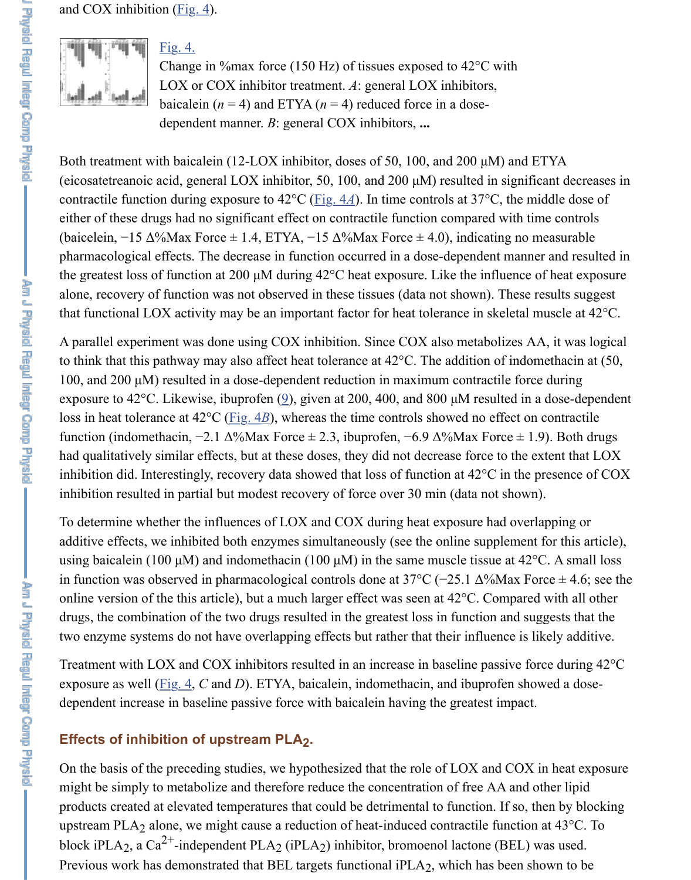contractile function [during](https://www.ncbi.nlm.nih.gov/pmc/articles/PMC2584865/figure/f4/) exposure to  $42^{\circ}\text{C}$  (<u>Fig. 4*A*</u>). In time controls at  $37^{\circ}\text{C}$ , the most either of these drugs had no significant effect on contractile function compared with the (baicelein,  $-15 \Delta$ [%Max F](https://www.ncbi.nlm.nih.gov/pmc/articles/PMC2584865/figure/f4/)orce  $\pm$  1.4, ETYA,  $-15 \Delta$ %Max Force  $\pm$  4.0), indicating no [pharmacological](https://www.ncbi.nlm.nih.gov/pmc/articles/PMC2584865/figure/f4/) effects. The decrease in function occurred in a dose-dependent man the greatest loss of function at 200  $\mu$ M during 42 $\degree$ C heat exposure. Like the influence alone, recovery of function was not observed in these tissues (data not shown). These that functional LOX activity may be an important factor for heat tolerance in skeletal

A parallel experiment was done using COX inhibition. Since COX also metabolizes. to think that this pathway may also affect heat tolerance at  $42^{\circ}$ C. The addition of indomethacin at  $\overline{50}$ 100, and 200  $\mu$ M) resulted in a dose-dependent reduction in maximum contractile for exposure to 42°C. Likewise, ibuprofen  $(9)$ , gi[ven at 20](https://www.ncbi.nlm.nih.gov/pmc/articles/PMC2584865/figure/f4/)0, 400, and 800 µM resulted in loss in heat tolerance at  $42^{\circ}$ C (Fig.  $4B$ ), whereas the time controls showed no effect on function (indomethacin,  $-2.1 \Delta$ %Max Force  $\pm$  2.3, ibuprofen,  $-6.9 \Delta$ %Max Force  $\pm$ had qualitatively similar effects, but at these doses, they did not decrease force to the inhibition did. Interestingly, recovery data showed that loss of function at  $42^{\circ}$ C in the inhibition resulted in partial but modest recovery of force over 30 min (data not show

To determine whether the influences of LOX and COX during heat exposure had over additive effects, we inhibited both enzymes simultaneously (see the online supplement using baicalein (100  $\mu$ M) and indomethacin (100  $\mu$ M) in the same muscle tissue at 42°C. in function was observed in pharmacological controls done at  $37^{\circ}$ C (−25.1  $\Delta\%$ Max H online version of the this article), but a [mu](https://www.ncbi.nlm.nih.gov/pmc/articles/PMC2584865/#r9)ch larger effect was seen at  $42^{\circ}$ C. Compared C. drugs, the combination of the [two drug](https://www.ncbi.nlm.nih.gov/pmc/articles/PMC2584865/figure/f4/)s resulted in the greatest loss in function and s two enzyme systems do not have overlapping effects but rather that their influence is

Treatment with LOX and COX inhibitors resulted in an increase in baseline passive for exposure as well (Fig. 4,  $C$  and  $D$ ). ETYA, baicalein, indomethacin, and ibuprofen sh dependent increase in baseline passive force with baicalein having the greatest impact.

## Effects of inhibition of upstream PLA<sub>2</sub>.

On the basis of the preceding studies, we hypothesized that the role of LOX and COX might be simply to metabolize and therefore reduce the concentration of free AA and products created at elevated temperatures that could be detrimental to function. If so, upstream PLA<sub>2</sub> alone, we might cause a reduction of heat-induced contractile function block iPLA<sub>2</sub>, a Ca<sup>2+</sup>-independent PLA<sub>2</sub> (iPLA<sub>2</sub>) inhibitor, bromoenol lactone (BEL) Previous work ha[s demo](https://www.ncbi.nlm.nih.gov/pmc/articles/PMC2584865/figure/f4/)nstrated that BEL targets functional iPLA<sub>2</sub>, which has been show 2+ 2 (1 $PLA_2$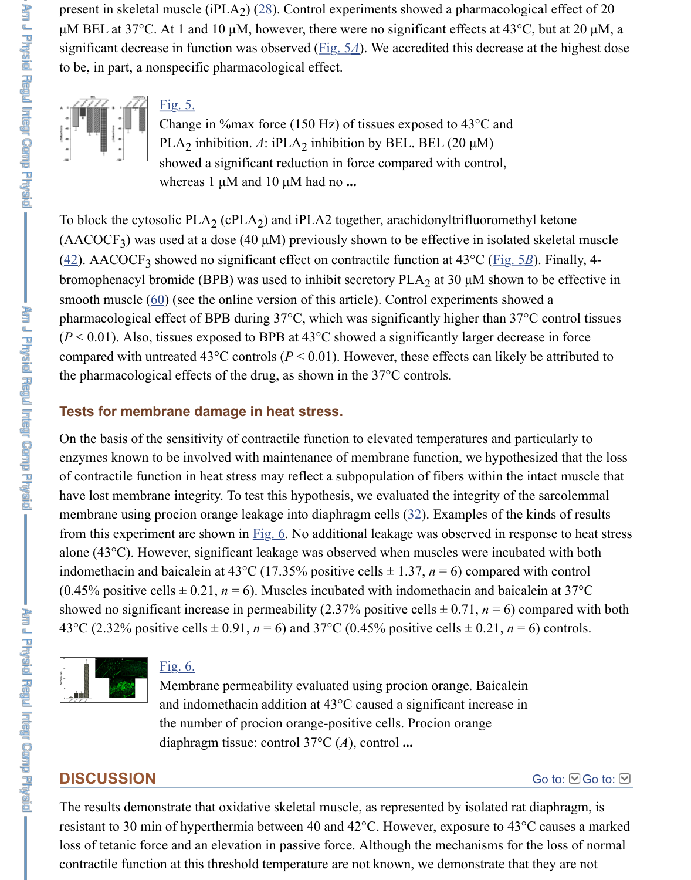To block the cytosolic  $PLA_2$  (cPLA<sub>2</sub>) and iPLA2 together, arachidonyltrifluoromethy  $(AACOCF<sub>3</sub>)$  was used at a dose (40  $\mu$ M) previ[ously sh](https://www.ncbi.nlm.nih.gov/pmc/articles/PMC2584865/figure/f5/)own to be effective in isolated (42). AACOCF<sub>3</sub> showed no significant effect on contractile function at 43°C (Fig. 5*l*). bromophenacyl bromide (BPB) was used to inhibit secretory  $PLA_2$  at 30  $\mu$ M shown to smooth muscle  $(60)$  (see the online version of this article). Control experiments show pharmacological effect of BPB during  $37^{\circ}$ C, which was significantly higher than  $37^{\circ}$  $(P < 0.01)$ . Also, tissues exposed to BPB at 43<sup>o</sup>C showed a significantly larger decreation compared with untreated 43<sup>o</sup>C controls ( $P < 0.01$ ). However, these effects can likely the pharmacological effects of the drug, as shown in the 37°C controls.

### **Tests for membrane damage in heat stress.**

On the basis of the sensitivity of contractile function to elevated temperatures and particularly to the sensitivity of contractile function to elevated temperatures and particularly [enz](https://www.ncbi.nlm.nih.gov/pmc/articles/PMC2584865/#r42)ymes known to be involved with maintenance of membrane function, we hypothere of contractile function in heat stress may reflect a subpopulation of fibers within the have lost memb[rane](https://www.ncbi.nlm.nih.gov/pmc/articles/PMC2584865/#r60) integrity. To test this hypothesis, we evaluated the integrity of the membrane using procion orange leakage into diaphragm cells  $(32)$ . Examples of the l from this experiment are shown in  $\underline{Fig. 6}$ . No additional leakage was observed in resp alone (43 $^{\circ}$ C). However, significant leakage was observed when muscles were incuba indomethacin and baicalein at 43°C (17.35% positive cells  $\pm$  1.37, *n* = 6) compared v (0.45% positive cells  $\pm$  0.21, *n* = 6). Muscles incubated with indomethacin and baical showed no significant increase in permeability (2.37% positive cells ± 0.71, *n* = 6) compared with both 43°C (2.32% positive cells  $\pm$  0.91, *n* = 6) and 37°C (0.45% positive cells  $\pm$  0.21, *n* =



### Fig. 6.

Membrane permeability evaluated using procion orange. Baicalein and indomethacin addition at 43°C caused a [sig](https://www.ncbi.nlm.nih.gov/pmc/articles/PMC2584865/#r32)nificant increase in the number of pr[ocion](https://www.ncbi.nlm.nih.gov/pmc/articles/PMC2584865/figure/f6/) orange-positive cells. Procion orange diaphragm tissue: control 37°C (*A*), control **...**

# **DISCUSSION**

The results demonstrate that oxidative skeletal muscle, as represented by isolated rat resistant to 30 min of hyperthermia between 40 and 42°C. However, exposure to 43° loss of tetanic force and an elevation in passive force. Although the mechanisms for the loss of tetanic [contractile funct](https://www.ncbi.nlm.nih.gov/pmc/articles/PMC2584865/figure/f6/)i[on at thi](https://www.ncbi.nlm.nih.gov/pmc/articles/PMC2584865/figure/f6/)s threshold temperature are not known, we demonstrate that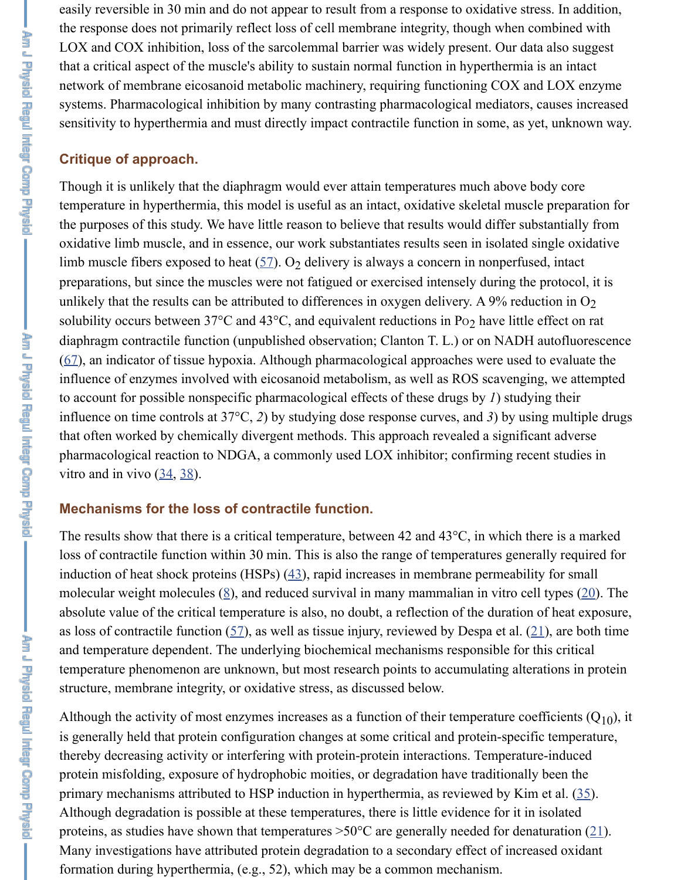**Linguage** 

temperature in hyperthermia, this model is useful as an intact, oxidative skeletal mus the purposes of this study. We have little reason to believe that results would differ substantially from the purposes of this study. oxidative limb muscle, and in essence, our work substantiates results seen in isolated limb muscle fibers exposed to heat  $(57)$ . O<sub>2</sub> delivery is always a concern in nonperfu preparations, but since the muscles were not fatigued or exercised intensely during the protocol. unlikely that the results can be attributed to differences in oxygen delivery. A  $9\%$  red solubility occurs between  $37^{\circ}$ C and  $43^{\circ}$ C, and equivalent reductions in Po<sub>2</sub> have little diaphragm contractile function (unpublished observation; Clanton T. L.) or on NADI  $(67)$ , an indicator of tissue hypoxia. Although pharmacological approaches were used influence of enzymes involved with eicosanoid metabolism, as well as ROS scavenging to account for possible nonspecific pharmacological effects of these drugs by *1*) stud influence on time controls at  $37^{\circ}$ C, 2) by studying dose response curves, and 3) by us that often worked by chemically divergent methods. This approach revealed a signifi pharmacological reaction to NDGA[, a c](https://www.ncbi.nlm.nih.gov/pmc/articles/PMC2584865/#r57)ommonly used LOX inhibitor; confirming revitro and in vivo  $(34, 38)$ .

## **Mechanisms for the loss of contractile function.**

The results show that there is a critical temperature, between 42 and  $43^{\circ}$ C, in which there is a critical temperature, between 42 and  $43^{\circ}$ C, in which there is a critical temperature, between 42 and 43 $^{\circ}$ C, in w l[oss](https://www.ncbi.nlm.nih.gov/pmc/articles/PMC2584865/#r67) of contractile function within 30 min. This is also the range of temperatures gene induction of heat shock proteins (HSPs)  $(43)$ , rapid increases in membrane permeability for small for small for small for small for small for small for small for small for small for small for small for small for small fo molecular weight molecules  $(8)$ , and reduced survival in many mammalian in vitro c absolute value of the critical temperature is also, no doubt, a reflection of the duration as loss of contractile function  $(57)$ , as well as tissue injury, reviewed by Despa et al. and temperature dependent. The underlying biochemical mechanisms responsible for temperature phen[om](https://www.ncbi.nlm.nih.gov/pmc/articles/PMC2584865/#r34)e[non](https://www.ncbi.nlm.nih.gov/pmc/articles/PMC2584865/#r38) are unknown, but most research points to accumulating alterations in proteins in protein structure, membrane integrity, or oxidative stress, as discussed below.

Although the activity of most enzymes increases as a function of their temperature co is generally held that protein configuration changes at some critical and protein-specithereby decreasing activity or interfering with protein-protein interactions. Temperatureprotein misfolding, exposure of hydroph[obic](https://www.ncbi.nlm.nih.gov/pmc/articles/PMC2584865/#r43) moities, or degradation have traditional primary mechanisms attribut[ed](https://www.ncbi.nlm.nih.gov/pmc/articles/PMC2584865/#r8) to HSP induction in hyperthermia, as reviewed by Ki Although degradation is possible at these temperatures, there is little evidence for it in proteins, as studies have show[n th](https://www.ncbi.nlm.nih.gov/pmc/articles/PMC2584865/#r57)at temperatures  $>50^{\circ}$ C are generally needed for den Many investigations have attributed protein degradation to a secondary effect of increased or formation during hyperthermia, (e.g., 52), which may be a common mechanism.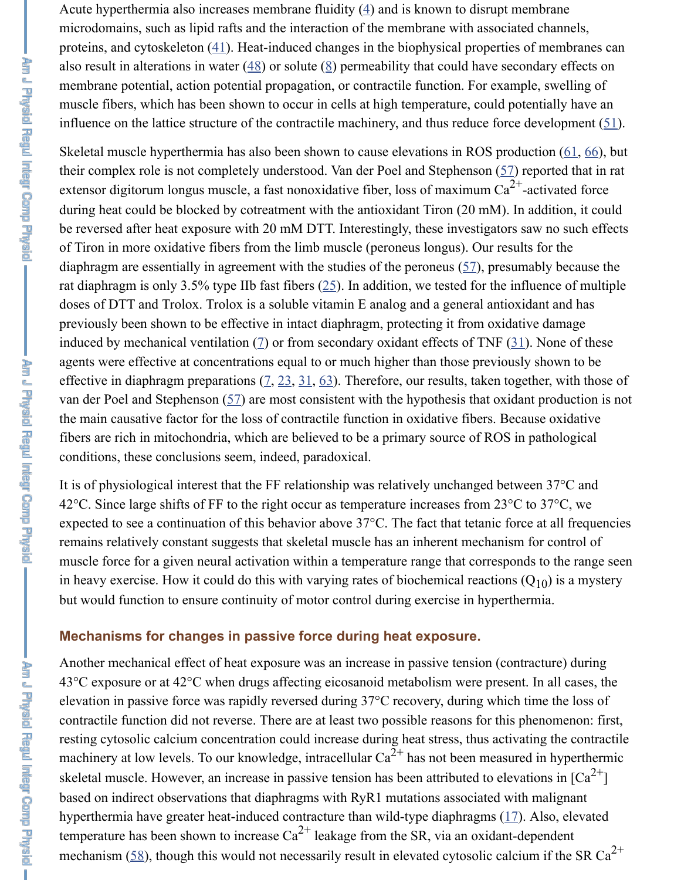extensor digitorum longus muscle, a fast nonoxidative fiber, loss of maximum Ca -activated force Comp Presid during heat could be blocked by cotreatment with the [an](https://www.ncbi.nlm.nih.gov/pmc/articles/PMC2584865/#r4)tioxidant Tiron  $(20 \text{ mM})$ . In be reversed after heat exposure with 20 mM DTT. Interestingly, these investigators say of Tiron in more oxidative [fibe](https://www.ncbi.nlm.nih.gov/pmc/articles/PMC2584865/#r41)rs from the limb muscle (peroneus longus). Our result diaphragm are essentially in agre[eme](https://www.ncbi.nlm.nih.gov/pmc/articles/PMC2584865/#r48)nt with the [s](https://www.ncbi.nlm.nih.gov/pmc/articles/PMC2584865/#r8)tudies of the peroneus  $(57)$ , presum rat diaphragm is only 3.5% type IIb fast fibers  $(25)$ . In addition, we tested for the infl doses of DTT and Trolox. Trolox is a soluble vitamin E analog and a general antioxid previously been shown to be effective in intact diaphragm, protecting it from oxidative induced by mechanical ventilation  $(7)$  or from secondary oxidant effects of TNF  $(31)$ . agents were effective at concentrations equal to or much higher than those prev[iou](https://www.ncbi.nlm.nih.gov/pmc/articles/PMC2584865/#r57)sly effective in diaphragm preparations  $(2, 23, 31, 63)$ . Therefore, our results, taken together, with the those of  $(2, 23, 31, 63)$ . van der Poel and Stephenson  $(57)$  are most consistent with the hypothesis that oxidant the main causative factor for the loss of contractile function in oxidative fibers. Because oxidative fibers oxidative fibers. fibers are rich in mitochondria, which are believed to be a primary source of ROS in conditions, these conclusions seem, indeed, paradoxical.

It is of physiological interest that the FF relatio[nsh](https://www.ncbi.nlm.nih.gov/pmc/articles/PMC2584865/#r25)ip was relatively unchanged betwe 42 $^{\circ}$ C. Since large shifts of FF to the right occur as temperature increases from 23 $^{\circ}$ C to expected to see a continuation of this behavior above  $37^{\circ}$ C. The fact that tetanic force remains relatively constant suggest[s t](https://www.ncbi.nlm.nih.gov/pmc/articles/PMC2584865/#r7)hat skeletal muscle has an inherent mechanism muscle force for a given neural activation within a temperature range that correspond in heavy exercise. How it could do t[his](https://www.ncbi.nlm.nih.gov/pmc/articles/PMC2584865/#r7) [wi](https://www.ncbi.nlm.nih.gov/pmc/articles/PMC2584865/#r23)t[h v](https://www.ncbi.nlm.nih.gov/pmc/articles/PMC2584865/#r31)[aryi](https://www.ncbi.nlm.nih.gov/pmc/articles/PMC2584865/#r63)ng rates of biochemical reactions ( but would function to ensure [con](https://www.ncbi.nlm.nih.gov/pmc/articles/PMC2584865/#r57)tinuity of motor control during exercise in hyperthermia.

### **Mechanisms for changes in passive force during heat exposure.**

Another mechanical effect of heat exposure was an increase in passive tension (contra  $43^{\circ}$ C exposure or at  $42^{\circ}$ C when drugs affecting eicosanoid metabolism were present. elevation in passive force was rapidly reversed during  $37^{\circ}$ C recovery, during which t contractile function did not reverse. There are at least two possible reasons for this pl resting cytosolic calcium concentration could increase during heat stress, thus activat machinery at low levels. To our knowledge, intracellular  $Ca^{2+}$  has not been measured skeletal muscle. However, an increase in passive tension has been attributed to elevat based on indirect observations that diaphragms with RyR1 mutations associated with hyperthermia have greater heat-induced contracture than wild-type diaphragms  $(17)$ . temperature has been shown to increase  $Ca^{2+}$  leakage from the SR, via an oxidant-de mechanism  $(58)$ , though this would not necessarily result in elevated cytosolic calcium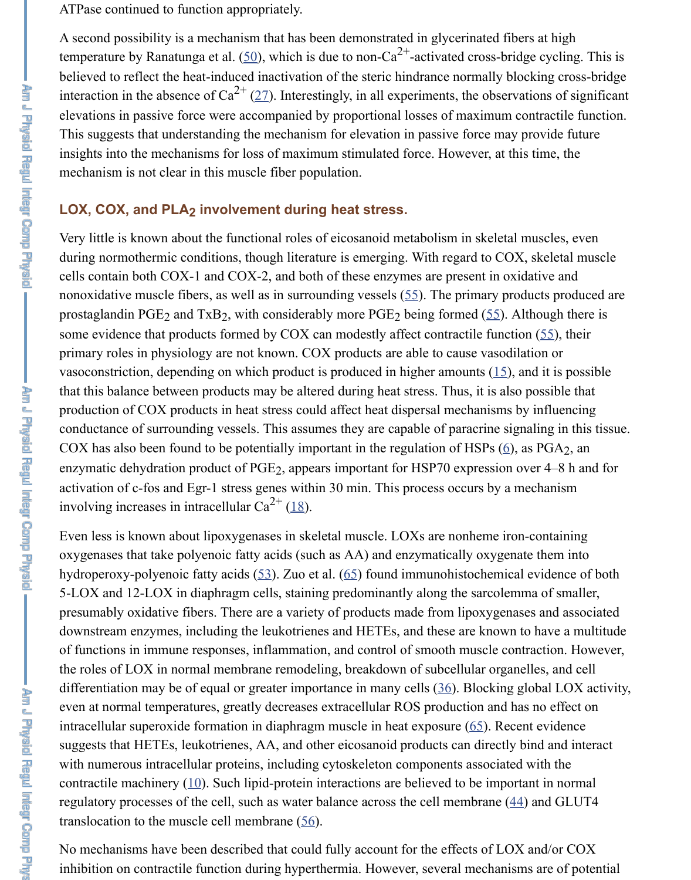### LOX, COX, and PLA<sub>2</sub> involvement during heat stress.

Very little is known about the functional roles of eicosanoid metabolism in skeletal n during normothermic conditions, [tho](https://www.ncbi.nlm.nih.gov/pmc/articles/PMC2584865/#r50)ugh literature is emerging. With regard to COX, cells contain both COX-1 and COX-2, and both of these enzymes are present in oxid nonoxidative muscle fibers, [as](https://www.ncbi.nlm.nih.gov/pmc/articles/PMC2584865/#r27) well as in surrounding vessels  $(55)$ . The primary prod prostaglandin PGE<sub>2</sub> and TxB<sub>2</sub>, with considerably more PGE<sub>2</sub> being formed (55). Although the some evidence that products formed by COX can modestly affect contractile function primary roles in physiology are not known. COX products are able to cause vasodilation vasoconstriction, depending on which product is produced in higher amounts  $(15)$ , and that this balance between products may be altered during heat stress. Thus, it is also possible that production of COX products in heat stress could affect heat dispersal mechanisms by conductance of surrounding vessels. This assumes they are capable of paracrine signaling in this time. COX has also been found to be potentially important in the regulation of HSPs  $(6)$ , and enzymatic dehydration product of PGE<sub>2</sub>, appears important for HSP70 expression over activation of c-fos and Egr-1 stress genes within 30 min. This [pro](https://www.ncbi.nlm.nih.gov/pmc/articles/PMC2584865/#r55)cess occurs by a me involving increases in intracellular  $Ca^{2+}$  (18).

Even less is known about lipoxygenases in skeletal muscle. LOXs are nonheme ironoxygenases that take polyenoic fatty acids (such as AA) and enzymatically oxygenate hydroperoxy-polyenoic fatty acids  $(53)$ . Zuo et al.  $(65)$  found immunohistoch[emi](https://www.ncbi.nlm.nih.gov/pmc/articles/PMC2584865/#r15)cal 5-LOX and 12-LOX in diaphragm cells, staining predominantly along the sarcolemn presumably oxidative fibers. There are a variety of products made from lipoxygenase downstream enzymes, including the leukotrienes and HETEs, and these are known to of functions in immune responses, inflammation, and [co](https://www.ncbi.nlm.nih.gov/pmc/articles/PMC2584865/#r6)ntrol of smooth muscle contraction. the roles of LOX in normal membrane remodeling, breakdown of subcellular organely differentiation may be of equal or greater importance in many cells  $(36)$ . Blocking gl even at normal temperatures, greatly decr[eas](https://www.ncbi.nlm.nih.gov/pmc/articles/PMC2584865/#r18)es extracellular ROS production and has intracellular superoxide formation in diaphragm muscle in heat exposure  $(65)$ . Recent suggests that HETEs, leukotrienes, AA, and other eicosanoid products can directly bi with numerous intracellular protein[s, in](https://www.ncbi.nlm.nih.gov/pmc/articles/PMC2584865/#r53)cluding cyt[osk](https://www.ncbi.nlm.nih.gov/pmc/articles/PMC2584865/#r65)eleton components associated v contractile machinery  $(10)$ . Such lipid-protein interactions are believed to be important in normal in normal in normal in normal in normal in normal in normal in normal in normal in normal in normal in normal in normal regulatory processes of the cell, such as water balance across the cell membrane  $(44)$ translocation to the muscle cell membrane  $(56)$ .

No mechanisms have been described that could fully account for the effects of LOX inhibition on contractile function during hyperthermia. However, several mechanism

**Ring Compression**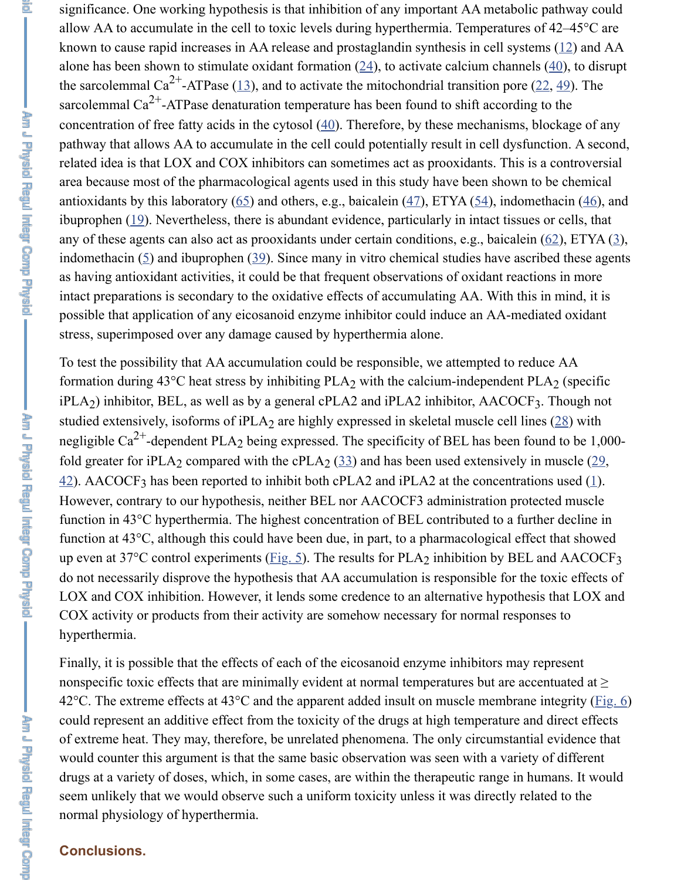Am J Physic Regul Intent Comp Physic

antioxidants by this laboratory  $(65)$  and others, e.g., baicalein  $(47)$ , ETYA  $(54)$ , indom ibuprophen  $(19)$ . Nevertheless, there is abundant evidence, particularly in intact tissues any of these agents can also act as prooxidants under certain conditions, e.g., baicalein indomethacin  $(5)$  and ibuprophen  $(39)$ . Since many in [vit](https://www.ncbi.nlm.nih.gov/pmc/articles/PMC2584865/#r24)ro chemical studies have ase as having antioxidant activities, [it c](https://www.ncbi.nlm.nih.gov/pmc/articles/PMC2584865/#r13)ould be that frequent observat[ion](https://www.ncbi.nlm.nih.gov/pmc/articles/PMC2584865/#r22)s of oxidant reactions. intact preparations is secondary to the oxidative effects of accumulating AA. With the possible that application of any eicosanoid enz[yme](https://www.ncbi.nlm.nih.gov/pmc/articles/PMC2584865/#r40) inhibitor could induce an AA-me stress, superimposed over any damage caused by hyperthermia alone.

To test the possibility that AA accumulation could be responsible, we attempted to re formation during  $43^{\circ}$ C heat stress by inhibiting PLA<sub>2</sub> with the calcium-independent  $iPLA_2$ ) inhibitor, BEL, as well [as b](https://www.ncbi.nlm.nih.gov/pmc/articles/PMC2584865/#r65)y a general cPL[A2](https://www.ncbi.nlm.nih.gov/pmc/articles/PMC2584865/#r47) and  $iPLA_2$  inhibitor[, AA](https://www.ncbi.nlm.nih.gov/pmc/articles/PMC2584865/#r54)COC. studied exte[nsiv](https://www.ncbi.nlm.nih.gov/pmc/articles/PMC2584865/#r19)ely, isoforms of  $iPLA_2$  are highly expressed in skeletal muscle cell li negligible Ca<sup>2+</sup>-dependent PLA<sub>2</sub> being expressed. The specificity of BEL has been f fold greater fo[r i](https://www.ncbi.nlm.nih.gov/pmc/articles/PMC2584865/#r5)PLA<sub>2</sub> compared [with](https://www.ncbi.nlm.nih.gov/pmc/articles/PMC2584865/#r39) the cPLA<sub>2</sub>  $(33)$  and has been used extensively  $42$ ). AACOCF<sub>3</sub> has been reported to inhibit both cPLA2 and iPLA2 at the concentrations However, contrary to our hypothesis, neither BEL nor AACOCF3 administration pro function in  $43^{\circ}$ C hyperthermia. The highest concentration of BEL contributed to a fu function at  $43^{\circ}$ C, although this could have been due, in part, to a pharmacological eff up even at 37°C control experiments ( $\underline{Fig. 5}$ ). The results for PLA<sub>2</sub> inhibition by BEI do not necessarily disprove the hypothesis that AA accumulation is responsible for the LOX and COX inhibition. However, it lends some credence to an alternative hypothe COX activity or products from their activity are somehow necessary for normal responses hyperthermia. 2

Finally, it is possible that the effects of each of the [eic](https://www.ncbi.nlm.nih.gov/pmc/articles/PMC2584865/#r33)osanoid enzyme inhibitors may [non](https://www.ncbi.nlm.nih.gov/pmc/articles/PMC2584865/#r42)specific toxic effects th[at](https://www.ncbi.nlm.nih.gov/pmc/articles/PMC2584865/#r1) are minimally evident at normal temperatures but are ad 42 $^{\circ}$ C. The extreme effects at 43 $^{\circ}$ C and the apparent added insult on muscle membrane could represent an additive effect from the toxicity of the drugs at high temperature a of extreme heat. They may, therefore, be unrelated phenomena. The only circumstant would counter this argument is that th[e same](https://www.ncbi.nlm.nih.gov/pmc/articles/PMC2584865/figure/f5/) basic observation was seen with a varie drugs at a variety of doses, which, in some cases, are within the therapeutic range in seem unlikely that we would observe such a uniform toxicity unless it was directly re normal physiology of hyperthermia.

## **Conclusions.**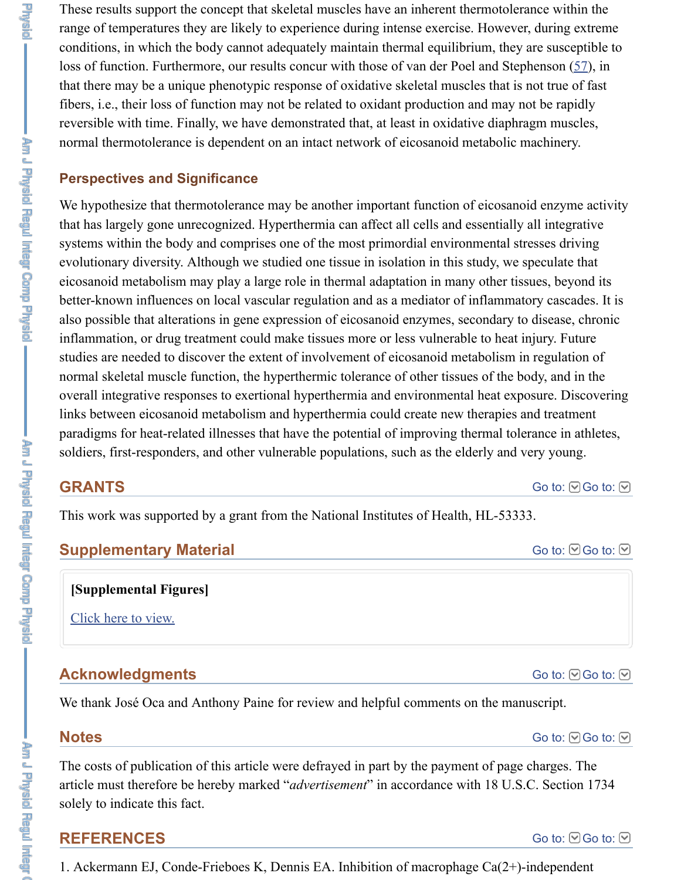We hypothesize that thermotolerance may be another important function of eicosanoid that has largely gone unrecognized. Hyperthermia can affect all cells and essentially systems within the body and comprises one of the most primordial environmental str evolutionary diversity. Although we studied one tissue in isolation in this study, we s eicosanoid metabolism may play a large role in thermal adaptation in many other tiss better-known influences on local vascular regulation and as a mediator of inflammator also possible that alterations in gene expression of eicosanoid enzymes, secondary to inflammation, or drug treatment could make tissues more or less vulnerable to heat in studies are needed to discover the extent of involvement of eicosanoid metabolism in normal skeletal muscle function, the hyperthermic tolerance of other tissues of the bo overall integrative responses to exertional hyperthermia and environmental heat exposure. links between eicosanoid metabolism and hyperthermia could create new therapies and treatments. paradigms for heat-related illnesses that have the potential of improving thermal tolerance in athletes, in athletes,  $\frac{1}{\sqrt{2}}$ soldiers, first-responders, and other vulnerable populations, such as the elderly and v

# **GRANTS**

This work was supported by a grant from the National Institutes of Health, HL-53333.

# **Supplementary Material**

## **[Supplemental Figures]**

Click here to view.

# **Acknowledgments**

We thank José Oca and Anthony Paine for review and helpful comments on the manuscript.

# **Notes**

The costs of publication of this article were defrayed in part by the payment of page article must therefore be hereby marked "*advertisement*" in accordance with 18 U.S. s[olely to indicate this](https://www.ncbi.nlm.nih.gov/pmc/articles/PMC2584865/bin/90429.2008_index.html) fact.

# **REFERENCES**

1. Ackermann EJ, Conde-Frieboes K, Dennis EA. Inhibition of macrophage  $Ca(2+)$ -i

Am J Physic Regul Integr Comp Physic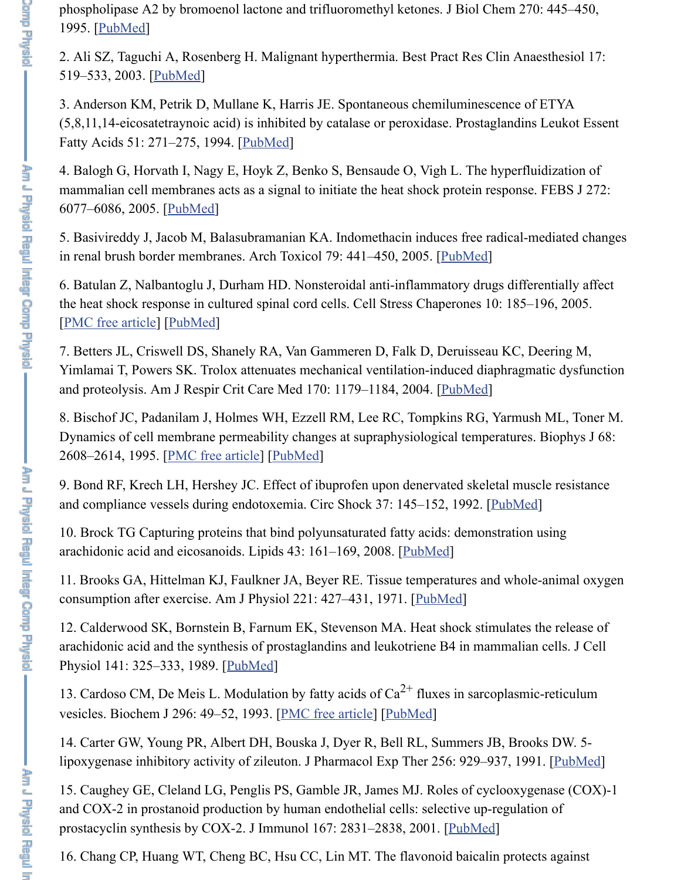5. Basi[vireddy J](https://www.ncbi.nlm.nih.gov/pubmed/7814408), Jacob M, Balasubramanian KA. Indomethacin induces free radicalin renal brush border membranes. Arch Toxicol 79: 441–450, 2005. [PubMed]

6. Batulan Z, Na[lbantoglu](https://www.ncbi.nlm.nih.gov/pubmed/14661655) J, Durham HD. Nonsteroidal anti-inflammatory drugs diff the heat shock response in cultured spinal cord cells. Cell Stress Chaperones 10: 185-[PMC free article] [PubMed]

7. Betters JL, Criswell DS, Shan[ely RA, V](https://www.ncbi.nlm.nih.gov/pubmed/7846095)an Gammeren D, Falk D, Deruisseau KC, Yimlamai T, Powers SK. Trolox attenuates mechanical ventilation-induced diaphragmatic dysfunction and proteolysis. Am J Respir Crit Care Med 170: 1179-1184, 2004. [PubMed]

8. Bischof JC, Pad[anilam J,](https://www.ncbi.nlm.nih.gov/pubmed/16302971) Holmes WH, Ezzell RM, Lee RC, Tompkins RG, Yarmu Dynamics of cell membrane permeability changes at supraphysiological temperature. 2608–2614, 1995. [PMC free article] [PubMed]

9. Bond RF, Krech LH, Hershey JC. Effect of ibuprofen upon denervated skeletal muscle F [and compliance v](https://www.ncbi.nlm.nih.gov/pmc/articles/PMC1226016/)es[sels durin](https://www.ncbi.nlm.nih.gov/pubmed/16184763)g endotoxemia. Circ Shock 37: 145–152, 1992. [PubMed]]

10. Brock TG Capturing proteins that bind polyunsaturated fatty acids: demonstration arachidonic acid and eicosanoids. Lipids 43: 161–169, 2008. [PubMed]

11. Brooks GA, Hittelman KJ, Faulkner JA, Beyer RE. Tissue tempe[ratures an](https://www.ncbi.nlm.nih.gov/pubmed/15374845)d who consumption after exercise. Am J Physiol 221: 427–431, 1971. [PubMed]

12. Calderwood SK, Bornstein B, Farnum EK, Stevenson MA. Heat shock stimulates arachidonic acid an[d the synthesis of](https://www.ncbi.nlm.nih.gov/pmc/articles/PMC1282171/) [prostaglan](https://www.ncbi.nlm.nih.gov/pubmed/7647264)dins and leukotriene B4 in mammalian Physiol 141: 325–333, 1989. [*PubMed*]

13. Cardoso CM, De Meis L. Modulation by fatty acids of  $Ca^{2+}$  fluxes in sarcoplasm vesicles. Biochem J 296: 49–52, 1993. [PMC free article] [PubMed]

14. Carter GW, Young PR, Albert DH, Bouska J, Dyer R, Bel[l RL, Sum](https://www.ncbi.nlm.nih.gov/pubmed/18084788)mers JB, Bro lipoxygenase inhibitory activity of zileuton. J Pharmacol Exp Ther 256: 929-937, 19

15. Caughey GE, Cleland LG, Penglis PS, Gamble JR, James M[J. Roles o](https://www.ncbi.nlm.nih.gov/pubmed/5560291)f cyclooxy and COX-2 in prostanoid production by human endothelial cells: selective up-regulation of prostacyclin synthesis by COX-2. J Immunol 167: 2831–2838, 2001. [PubMed]

16. Chang CP, Huang WT, Ch[eng BC,](https://www.ncbi.nlm.nih.gov/pubmed/2553753) Hsu CC, Lin MT. The flavonoid baicalin prote

her J Prysid Regul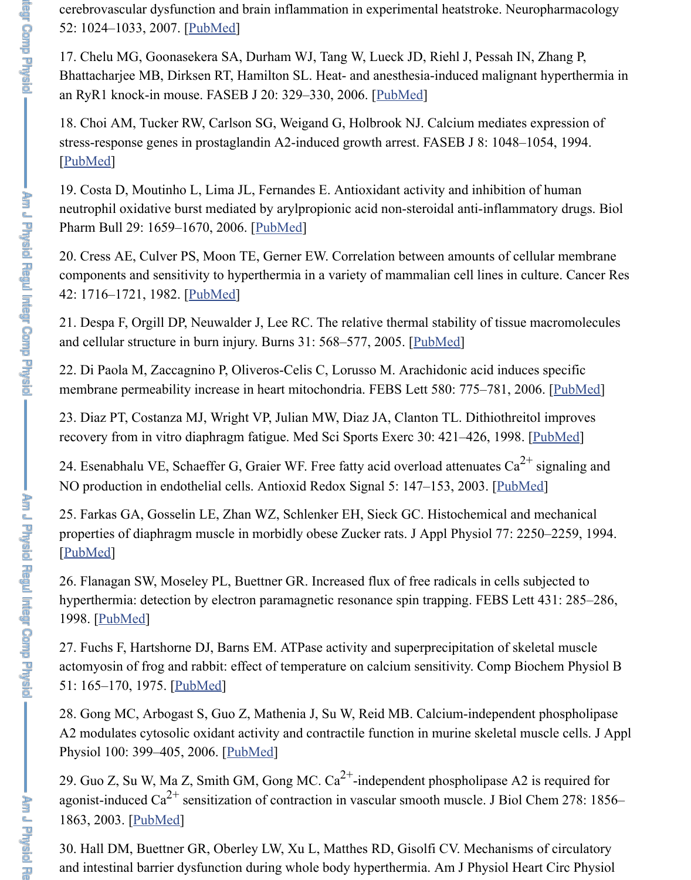neutrophil oxidative burst mediated by arylpropionic acid non-steroidal anti-inflamm Pharm Bull 29: 1659–1[670, 200](https://www.ncbi.nlm.nih.gov/pubmed/17204294)6. [PubMed]

19. Costa D, Moutinho L, Lima JL, Fernandes E. Antioxidant activity and inhibition of human

20. Cress AE, Culver PS, Moon TE, Gerner EW. Correlation between amounts of cel components and sensitivity to hyperthermia in a variety of mammalian cell lines in c 42: 1716–1721, 1982. [PubMed]

21. Despa F, Orgill DP, Neuwalder J, Lee RC. The relative thermal stability of tissue and cellular structure in burn injury. Burns 31: 568–577, 2005. [PubMed]

[22. Di Pa](https://www.ncbi.nlm.nih.gov/pubmed/7926370)ola M, Zaccagnino P, Oliveros-Celis C, Lorusso M. Arachidonic acid induc membrane permeability increase in heart mitochondria. FEBS Lett 580: 775–781, 20

23. Diaz PT, Costanza MJ, Wright [VP, Julian](https://www.ncbi.nlm.nih.gov/pubmed/16880623) MW, Diaz JA, Clanton TL. Dithiothreit recovery from in vitro diaphragm fatigue. Med Sci Sports Exerc 30: 421–426, 1998.

24. Esenabhalu VE, Schaeffer G, Graier WF. Free fatty acid overload attenuates  $Ca^{2}$ NO production in endo[thelial ce](https://www.ncbi.nlm.nih.gov/pubmed/7066892)lls. Antioxid Redox Signal 5: 147–153, 2003. [PubM

25. Farkas GA, Gosselin LE, Zhan WZ, Schlenker EH, Sieck GC. Histochemical and properties of diaphragm muscle in morbidly obese Zucker rats. [J Appl Ph](https://www.ncbi.nlm.nih.gov/pubmed/15993302)ysiol 77: 22 [PubMed]

26. Flanagan SW, Moseley PL, Buettner GR. Increased flux of free radicals in cells s hyperthermia: detection by electron paramagnetic resonance spin trapping. FEBS Let 1998. [PubMed]

27. Fuchs F, Hartshorne DJ, Barns EM. ATPase activity and superprecipitation of skellet actomyosin of frog and rabbit: effect of temperature on calcium sensitivity. Comp Bi 51: 165–170, 1975. [PubMed]

28. Gong MC, Arbogast S, Guo Z, Mathenia J, Su W, Reid MB. Calcium-independent A2 modulates cytosolic oxidant activity and contractile function in murine skeletal m [Physiol](https://www.ncbi.nlm.nih.gov/pubmed/7868442) 100: 399–405, 2006. [PubMed]

29. Guo Z, Su W, Ma Z, Smith GM, Gong MC.  $Ca^{2+}$ -independent phospholipase A2 agonist-induced Ca<sup>2+</sup> sensitization of contraction in vascular smooth muscle. J Biol  $\alpha$ 1863, [2003. \[Pu](https://www.ncbi.nlm.nih.gov/pubmed/9708920)bMed]

30. Hall DM, Buettner GR, Oberley LW, Xu L, Matthes RD, Gisolfi CV. Mechanism and intestinal barrier [dysfunct](https://www.ncbi.nlm.nih.gov/pubmed/124644)ion during whole body hyperthermia. Am J Physiol He

Am J Physid Regul Integr Comp Physid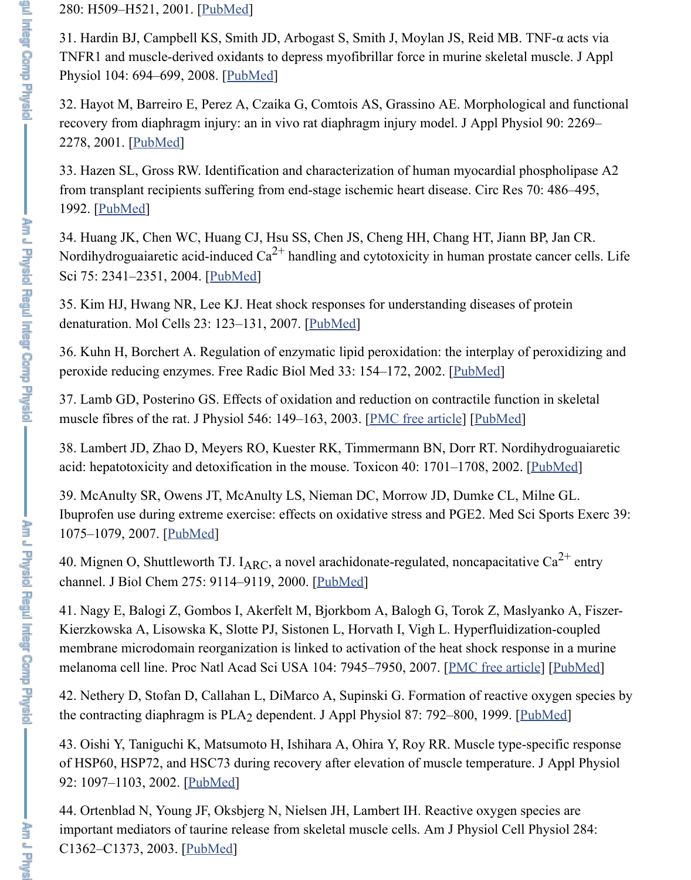34. Huang JK, Chen WC, Huang CJ, Hsu SS, Chen JS, Cheng HH, Chang HT, Jiann Nordihydroguaiaretic acid-induced  $Ca^{2+}$  handling and cytotoxicity in human prostate Sci 75: 2341–2351, 2004. [Pu[bMed\]](https://www.ncbi.nlm.nih.gov/pubmed/18187611)

35. Kim HJ, Hwang NR, Lee KJ. Heat shock responses for understanding diseases of denaturation. [Mol Cel](https://www.ncbi.nlm.nih.gov/pubmed/11356792)ls 23: 123–131, 2007. [PubMed]

36. Kuhn H, Borchert A. Regulation of enzymatic lipid peroxidation: the interplay of peroxide reducing enzymes. Free Radic Biol Med 33: 154–172, 2002. [PubMed]

37. La[mb GD, P](https://www.ncbi.nlm.nih.gov/pubmed/1537086)osterino GS. Effects of oxidation and reduction on contractile function muscle fibres of the rat. J Physiol 546: 149–163, 2003. [PMC free article] [PubMed]

38. Lambert JD, Zhao D, Meyers RO, Kuester RK, Timmermann BN, Dorr RT. Nord acid: hepatotoxicity and de[toxificati](https://www.ncbi.nlm.nih.gov/pubmed/15350831)on in the mouse. Toxicon  $40: 1701-1708, 2002$ .

39. McAnulty SR, Owens JT, McAnulty LS, Nieman DC, Morrow JD, Dumke CL, N Ibuprofen use during extreme exercise: effec[ts on oxid](https://www.ncbi.nlm.nih.gov/pubmed/17464187)ative stress and PGE2. Med Sc 1075–1079, 2007. [PubMed]

40. Mignen O, Shuttleworth TJ. I<sub>ARC</sub>, a novel arachidonate-regulated, [noncapac](https://www.ncbi.nlm.nih.gov/pubmed/12106812)itative channel. J Biol Chem 275: 9114–9119, 2000. [PubMed]

41. Nagy E, Balogi Z, Gombos I, Akerfelt M, Bjorkbo[m A, Balogh G, To](https://www.ncbi.nlm.nih.gov/pmc/articles/PMC2342458/)r[ok Z, Ma](https://www.ncbi.nlm.nih.gov/pubmed/12509485)s Kierzkowska A, Lisowska K, Slotte PJ, Sistonen L, Horvath I, Vigh L. Hyperfluidization-coupled and the Alexandr membrane microdomain reorganization is linked to activation of the heat shock response in a murine in a murine in a murine in a murine in a murine in a murine in a murine in a murine in a murine in a murine in a murine in melanoma cell line. Proc Natl Acad Sci USA 104: 7945-7950, 2007. [PMC free article]

42. Nethery D, Stofan D, Callahan L, DiMarco A, Supinski G. Formation of reactive the contracting dia[phragm is](https://www.ncbi.nlm.nih.gov/pubmed/17596774)  $PLA_2$  dependent. J Appl Physiol 87: 792–800, 1999. [ $\underline{P}$ 

43. Oishi Y, Taniguchi K, Matsumoto H, Ishihara A, Ohira Y, Roy RR. Muscle type-s of HSP60, HSP72, and HSC73 during recover[y after el](https://www.ncbi.nlm.nih.gov/pubmed/10734044)evation of muscle temperature. 92: 1097-1103, 2002. [PubMed]

44. Ortenblad N, Young JF, Oksbjerg N, Nielsen JH, Lambert IH. Reactive oxygen sp important mediators of taurine release from skeletal muscle cells. Am J Physiol Cell C1362–C1373, 2003. [PubMed]

**Aug** in Lup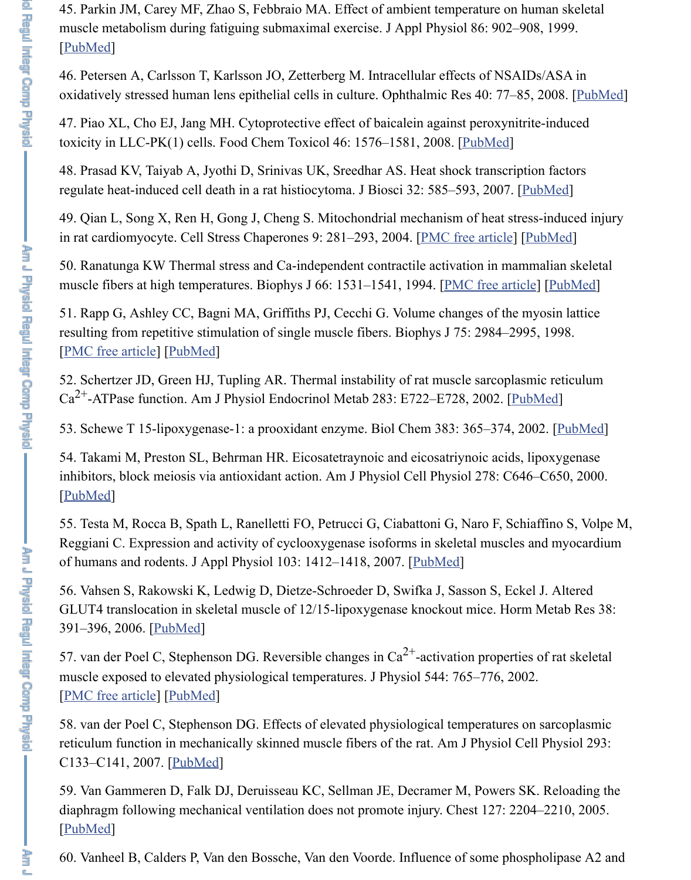49. Qian L, Song X, Ren H, Gong J, Cheng S. Mitochondrial mechanism of heat stre i[n rat card](https://www.ncbi.nlm.nih.gov/pubmed/10066703)iomyocyte. Cell Stress Chaperones 9: 281–293, 2004. [PMC free article] [

50. Ranatunga KW Thermal stress and Ca-independent contractile activation in mam muscle fibers at high temperatures. Biophys J 66: 1531–1541, 1994. [PMC free article]

51. Rapp G, Ashley CC, Bagni MA, Griffiths PJ, Cecchi G. Volume changes of the n resulting from repetitive stimulation of single muscle fibers. Biophys J 7[5: 2984–2](https://www.ncbi.nlm.nih.gov/pubmed/18299170)99 [PMC free article] [PubMed]

52. Schertzer JD, Green HJ, Tupling AR. Thermal instability of rat muscle sarcoplasm  $Ca^{2+}$ -ATPase function. Am J Physiol Endocrinol Metab 283: E722–E728, 2002. [Pul

53. Schewe T 15-lipoxygenase-1: a prooxidant enzyme. Biol Chem [383: 365–374,](https://www.ncbi.nlm.nih.gov/pmc/articles/PMC1065287/) 200

54. Takami M, Preston SL, Behrman HR. Eicosatetraynoic and eicosatriynoic acids, inhibitors, block meiosis via antioxidant action. Am J Physiol Cell Physiol 278: C646 [PubMed]

55. Testa M, Rocca B, Spath L, Ranelletti FO, Petrucci G, Ciabattoni G, Naro F, Schi [Reggiani C. Expre](https://www.ncbi.nlm.nih.gov/pmc/articles/PMC1299969/)s[sion and](https://www.ncbi.nlm.nih.gov/pubmed/9826618) activity of cyclooxygenase isoforms in skeletal muscles of humans and rodents. J Appl Physiol 103: 1412–1418, 2007. [PubMed]

56. Vahsen S, Rakowski K, Ledwig D, Dietze-Schroeder D, Swifka J, Sasson S, Eckel GLUT4 translocation in skeletal muscle of 12/15-lipoxygenase knockout mice. Horn 391–396, 2006. [PubMed]

57. van der Poel C, Stephenson DG. Reversible changes in  $Ca^{2+}$ -activation propertie muscle exposed to elevated physiological temperatures. J Physiol 544: 765–776, 200 [\[PMC fre](https://www.ncbi.nlm.nih.gov/pubmed/10751313)e article] [PubMed]

58. van der Poel C, Stephenson DG. Effects of elevated physiological temperatures o reticulum function in mechanically skinned muscle fibers of the [rat. Am](https://www.ncbi.nlm.nih.gov/pubmed/17673564) J Physiol Ce C133–C141, 2007. [PubMed]

59. Van Gammeren D, Falk DJ, Deruisseau KC, Sellman JE, Decramer M, Powers S. diaphragm follo[wing mec](https://www.ncbi.nlm.nih.gov/pubmed/16823721)hanical ventilation does not promote injury. Chest 127: 220 [PubMed]

60. Vanheel B, Calders P, Van den Bossche, Van den Voorde. Influence of some phos